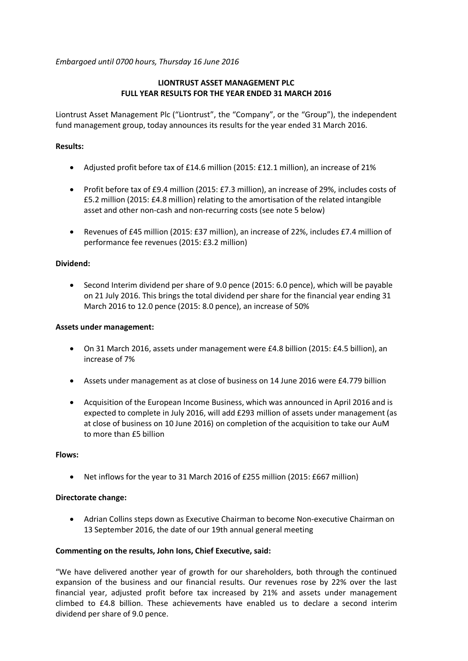*Embargoed until 0700 hours, Thursday 16 June 2016*

## **LIONTRUST ASSET MANAGEMENT PLC FULL YEAR RESULTS FOR THE YEAR ENDED 31 MARCH 2016**

Liontrust Asset Management Plc ("Liontrust", the "Company", or the "Group"), the independent fund management group, today announces its results for the year ended 31 March 2016.

## **Results:**

- Adjusted profit before tax of £14.6 million (2015: £12.1 million), an increase of 21%
- Profit before tax of £9.4 million (2015: £7.3 million), an increase of 29%, includes costs of £5.2 million (2015: £4.8 million) relating to the amortisation of the related intangible asset and other non-cash and non-recurring costs (see note 5 below)
- Revenues of £45 million (2015: £37 million), an increase of 22%, includes £7.4 million of performance fee revenues (2015: £3.2 million)

## **Dividend:**

• Second Interim dividend per share of 9.0 pence (2015: 6.0 pence), which will be payable on 21 July 2016. This brings the total dividend per share for the financial year ending 31 March 2016 to 12.0 pence (2015: 8.0 pence), an increase of 50%

## **Assets under management:**

- On 31 March 2016, assets under management were £4.8 billion (2015: £4.5 billion), an increase of 7%
- Assets under management as at close of business on 14 June 2016 were £4.779 billion
- Acquisition of the European Income Business, which was announced in April 2016 and is expected to complete in July 2016, will add £293 million of assets under management (as at close of business on 10 June 2016) on completion of the acquisition to take our AuM to more than £5 billion

## **Flows:**

• Net inflows for the year to 31 March 2016 of £255 million (2015: £667 million)

## **Directorate change:**

• Adrian Collins steps down as Executive Chairman to become Non-executive Chairman on 13 September 2016, the date of our 19th annual general meeting

## **Commenting on the results, John Ions, Chief Executive, said:**

"We have delivered another year of growth for our shareholders, both through the continued expansion of the business and our financial results. Our revenues rose by 22% over the last financial year, adjusted profit before tax increased by 21% and assets under management climbed to £4.8 billion. These achievements have enabled us to declare a second interim dividend per share of 9.0 pence.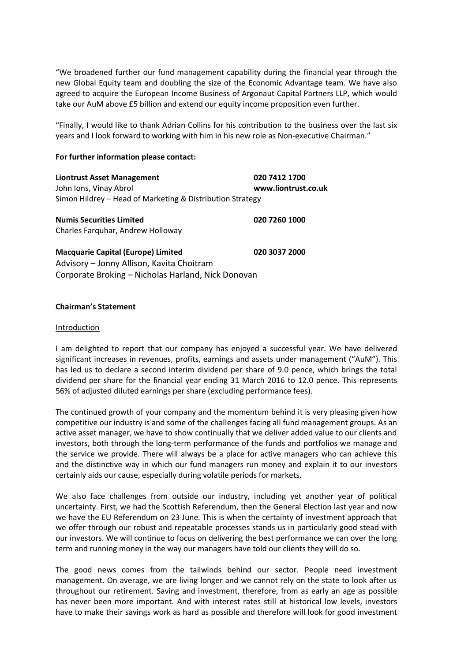"We broadened further our fund management capability during the financial year through the new Global Equity team and doubling the size of the Economic Advantage team. We have also agreed to acquire the European Income Business of Argonaut Capital Partners LLP, which would take our AuM above £5 billion and extend our equity income proposition even further.

"Finally, I would like to thank Adrian Collins for his contribution to the business over the last six years and I look forward to working with him in his new role as Non-executive Chairman."

## **For further information please contact:**

**Liontrust Asset Management 020 7412 1700**  John Ions, Vinay Abrol **www.liontrust.co.uk** Simon Hildrey – Head of Marketing & Distribution Strategy

**Numis Securities Limited 020 7260 1000** Charles Farquhar, Andrew Holloway

**Macquarie Capital (Europe) Limited 020 3037 2000** Advisory – Jonny Allison, Kavita Choitram Corporate Broking – Nicholas Harland, Nick Donovan

### **Chairman's Statement**

### Introduction

I am delighted to report that our company has enjoyed a successful year. We have delivered significant increases in revenues, profits, earnings and assets under management ("AuM"). This has led us to declare a second interim dividend per share of 9.0 pence, which brings the total dividend per share for the financial year ending 31 March 2016 to 12.0 pence. This represents 56% of adjusted diluted earnings per share (excluding performance fees).

The continued growth of your company and the momentum behind it is very pleasing given how competitive our industry is and some of the challenges facing all fund management groups. As an active asset manager, we have to show continually that we deliver added value to our clients and investors, both through the long-term performance of the funds and portfolios we manage and the service we provide. There will always be a place for active managers who can achieve this and the distinctive way in which our fund managers run money and explain it to our investors certainly aids our cause, especially during volatile periods for markets.

We also face challenges from outside our industry, including yet another year of political uncertainty. First, we had the Scottish Referendum, then the General Election last year and now we have the EU Referendum on 23 June. This is when the certainty of investment approach that we offer through our robust and repeatable processes stands us in particularly good stead with our investors. We will continue to focus on delivering the best performance we can over the long term and running money in the way our managers have told our clients they will do so.

The good news comes from the tailwinds behind our sector. People need investment management. On average, we are living longer and we cannot rely on the state to look after us throughout our retirement. Saving and investment, therefore, from as early an age as possible has never been more important. And with interest rates still at historical low levels, investors have to make their savings work as hard as possible and therefore will look for good investment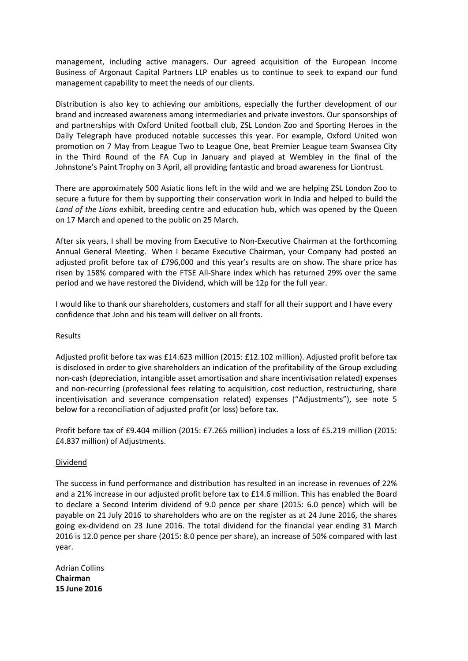management, including active managers. Our agreed acquisition of the European Income Business of Argonaut Capital Partners LLP enables us to continue to seek to expand our fund management capability to meet the needs of our clients.

Distribution is also key to achieving our ambitions, especially the further development of our brand and increased awareness among intermediaries and private investors. Our sponsorships of and partnerships with Oxford United football club, ZSL London Zoo and Sporting Heroes in the Daily Telegraph have produced notable successes this year. For example, Oxford United won promotion on 7 May from League Two to League One, beat Premier League team Swansea City in the Third Round of the FA Cup in January and played at Wembley in the final of the Johnstone's Paint Trophy on 3 April, all providing fantastic and broad awareness for Liontrust.

There are approximately 500 Asiatic lions left in the wild and we are helping ZSL London Zoo to secure a future for them by supporting their conservation work in India and helped to build the *Land of the Lions* exhibit, breeding centre and education hub, which was opened by the Queen on 17 March and opened to the public on 25 March.

After six years, I shall be moving from Executive to Non-Executive Chairman at the forthcoming Annual General Meeting. When I became Executive Chairman, your Company had posted an adjusted profit before tax of £796,000 and this year's results are on show. The share price has risen by 158% compared with the FTSE All-Share index which has returned 29% over the same period and we have restored the Dividend, which will be 12p for the full year.

I would like to thank our shareholders, customers and staff for all their support and I have every confidence that John and his team will deliver on all fronts.

## **Results**

Adjusted profit before tax was £14.623 million (2015: £12.102 million). Adjusted profit before tax is disclosed in order to give shareholders an indication of the profitability of the Group excluding non-cash (depreciation, intangible asset amortisation and share incentivisation related) expenses and non-recurring (professional fees relating to acquisition, cost reduction, restructuring, share incentivisation and severance compensation related) expenses ("Adjustments"), see note 5 below for a reconciliation of adjusted profit (or loss) before tax.

Profit before tax of £9.404 million (2015: £7.265 million) includes a loss of £5.219 million (2015: £4.837 million) of Adjustments.

## Dividend

The success in fund performance and distribution has resulted in an increase in revenues of 22% and a 21% increase in our adjusted profit before tax to £14.6 million. This has enabled the Board to declare a Second Interim dividend of 9.0 pence per share (2015: 6.0 pence) which will be payable on 21 July 2016 to shareholders who are on the register as at 24 June 2016, the shares going ex-dividend on 23 June 2016. The total dividend for the financial year ending 31 March 2016 is 12.0 pence per share (2015: 8.0 pence per share), an increase of 50% compared with last year.

Adrian Collins **Chairman 15 June 2016**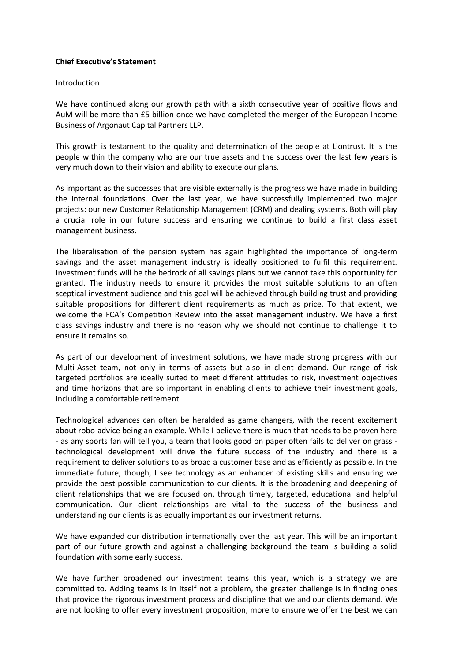## **Chief Executive's Statement**

#### Introduction

We have continued along our growth path with a sixth consecutive year of positive flows and AuM will be more than £5 billion once we have completed the merger of the European Income Business of Argonaut Capital Partners LLP.

This growth is testament to the quality and determination of the people at Liontrust. It is the people within the company who are our true assets and the success over the last few years is very much down to their vision and ability to execute our plans.

As important as the successes that are visible externally is the progress we have made in building the internal foundations. Over the last year, we have successfully implemented two major projects: our new Customer Relationship Management (CRM) and dealing systems. Both will play a crucial role in our future success and ensuring we continue to build a first class asset management business.

The liberalisation of the pension system has again highlighted the importance of long-term savings and the asset management industry is ideally positioned to fulfil this requirement. Investment funds will be the bedrock of all savings plans but we cannot take this opportunity for granted. The industry needs to ensure it provides the most suitable solutions to an often sceptical investment audience and this goal will be achieved through building trust and providing suitable propositions for different client requirements as much as price. To that extent, we welcome the FCA's Competition Review into the asset management industry. We have a first class savings industry and there is no reason why we should not continue to challenge it to ensure it remains so.

As part of our development of investment solutions, we have made strong progress with our Multi-Asset team, not only in terms of assets but also in client demand. Our range of risk targeted portfolios are ideally suited to meet different attitudes to risk, investment objectives and time horizons that are so important in enabling clients to achieve their investment goals, including a comfortable retirement.

Technological advances can often be heralded as game changers, with the recent excitement about robo-advice being an example. While I believe there is much that needs to be proven here - as any sports fan will tell you, a team that looks good on paper often fails to deliver on grass technological development will drive the future success of the industry and there is a requirement to deliver solutions to as broad a customer base and as efficiently as possible. In the immediate future, though, I see technology as an enhancer of existing skills and ensuring we provide the best possible communication to our clients. It is the broadening and deepening of client relationships that we are focused on, through timely, targeted, educational and helpful communication. Our client relationships are vital to the success of the business and understanding our clients is as equally important as our investment returns.

We have expanded our distribution internationally over the last year. This will be an important part of our future growth and against a challenging background the team is building a solid foundation with some early success.

We have further broadened our investment teams this year, which is a strategy we are committed to. Adding teams is in itself not a problem, the greater challenge is in finding ones that provide the rigorous investment process and discipline that we and our clients demand. We are not looking to offer every investment proposition, more to ensure we offer the best we can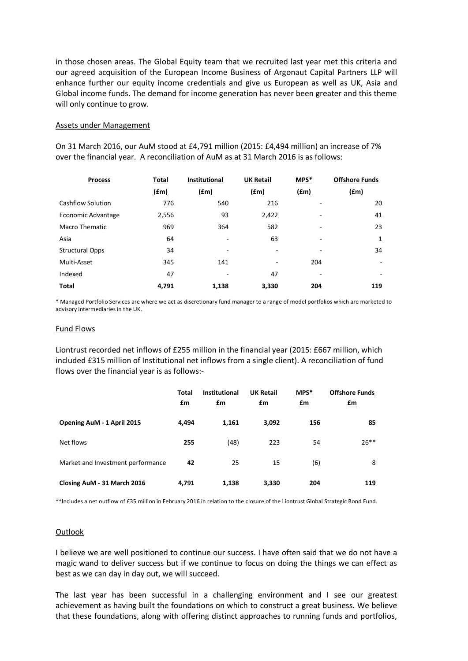in those chosen areas. The Global Equity team that we recruited last year met this criteria and our agreed acquisition of the European Income Business of Argonaut Capital Partners LLP will enhance further our equity income credentials and give us European as well as UK, Asia and Global income funds. The demand for income generation has never been greater and this theme will only continue to grow.

### Assets under Management

On 31 March 2016, our AuM stood at £4,791 million (2015: £4,494 million) an increase of 7% over the financial year. A reconciliation of AuM as at 31 March 2016 is as follows:

| <b>Process</b>           | <b>Total</b>  | <b>Institutional</b> | <b>UK Retail</b> | MPS* | <b>Offshore Funds</b> |
|--------------------------|---------------|----------------------|------------------|------|-----------------------|
|                          | $(\text{fm})$ | f(m)                 | f(m)             | (fm) | $(\text{fm})$         |
| <b>Cashflow Solution</b> | 776           | 540                  | 216              |      | 20                    |
| Economic Advantage       | 2,556         | 93                   | 2,422            |      | 41                    |
| Macro Thematic           | 969           | 364                  | 582              | ٠    | 23                    |
| Asia                     | 64            | ٠                    | 63               | ۰    | 1                     |
| <b>Structural Opps</b>   | 34            |                      | -                |      | 34                    |
| Multi-Asset              | 345           | 141                  | -                | 204  |                       |
| Indexed                  | 47            |                      | 47               |      |                       |
| <b>Total</b>             | 4,791         | 1,138                | 3,330            | 204  | 119                   |

\* Managed Portfolio Services are where we act as discretionary fund manager to a range of model portfolios which are marketed to advisory intermediaries in the UK.

#### Fund Flows

Liontrust recorded net inflows of £255 million in the financial year (2015: £667 million, which included £315 million of Institutional net inflows from a single client). A reconciliation of fund flows over the financial year is as follows:-

|                                   | Total<br>$\mathbf{f}$ m | <b>Institutional</b><br>$\mathbf{f}$ m | <b>UK Retail</b><br>$\mathbf{f}$ m | MPS*<br><u>£m</u> | <b>Offshore Funds</b><br>$\mathbf{f}$ m |
|-----------------------------------|-------------------------|----------------------------------------|------------------------------------|-------------------|-----------------------------------------|
| Opening AuM - 1 April 2015        | 4,494                   | 1,161                                  | 3,092                              | 156               | 85                                      |
| Net flows                         | 255                     | (48)                                   | 223                                | 54                | $26***$                                 |
| Market and Investment performance | 42                      | 25                                     | 15                                 | (6)               | 8                                       |
| Closing AuM - 31 March 2016       | 4,791                   | 1,138                                  | 3,330                              | 204               | 119                                     |

\*\*Includes a net outflow of £35 million in February 2016 in relation to the closure of the Liontrust Global Strategic Bond Fund.

#### **Outlook**

I believe we are well positioned to continue our success. I have often said that we do not have a magic wand to deliver success but if we continue to focus on doing the things we can effect as best as we can day in day out, we will succeed.

The last year has been successful in a challenging environment and I see our greatest achievement as having built the foundations on which to construct a great business. We believe that these foundations, along with offering distinct approaches to running funds and portfolios,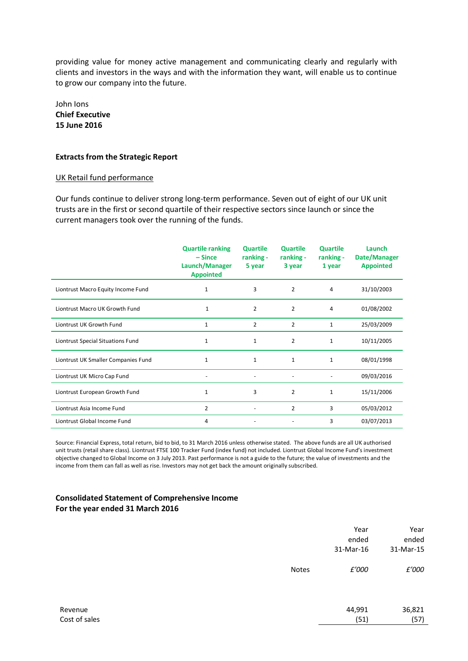providing value for money active management and communicating clearly and regularly with clients and investors in the ways and with the information they want, will enable us to continue to grow our company into the future.

John Ions **Chief Executive 15 June 2016**

## **Extracts from the Strategic Report**

## UK Retail fund performance

Our funds continue to deliver strong long-term performance. Seven out of eight of our UK unit trusts are in the first or second quartile of their respective sectors since launch or since the current managers took over the running of the funds.

|                                     | <b>Quartile ranking</b><br>$-$ Since<br>Launch/Manager<br><b>Appointed</b> | <b>Quartile</b><br>ranking -<br>5 year | <b>Quartile</b><br>ranking -<br>3 year | <b>Quartile</b><br>ranking -<br>1 year | Launch<br>Date/Manager<br><b>Appointed</b> |
|-------------------------------------|----------------------------------------------------------------------------|----------------------------------------|----------------------------------------|----------------------------------------|--------------------------------------------|
| Liontrust Macro Equity Income Fund  | 1                                                                          | 3                                      | $\overline{2}$                         | 4                                      | 31/10/2003                                 |
| Liontrust Macro UK Growth Fund      | $\mathbf{1}$                                                               | $\overline{2}$                         | $\overline{2}$                         | 4                                      | 01/08/2002                                 |
| Liontrust UK Growth Fund            | 1                                                                          | 2                                      | $\overline{2}$                         | 1                                      | 25/03/2009                                 |
| Liontrust Special Situations Fund   | $\mathbf{1}$                                                               | $\mathbf{1}$                           | $\overline{2}$                         | $\mathbf{1}$                           | 10/11/2005                                 |
| Liontrust UK Smaller Companies Fund | 1                                                                          | $\mathbf{1}$                           | $\mathbf{1}$                           | $\mathbf{1}$                           | 08/01/1998                                 |
| Liontrust UK Micro Cap Fund         |                                                                            | $\overline{\phantom{a}}$               | $\overline{\phantom{a}}$               | $\overline{\phantom{m}}$               | 09/03/2016                                 |
| Liontrust European Growth Fund      | $\mathbf{1}$                                                               | 3                                      | $\overline{2}$                         | $\mathbf{1}$                           | 15/11/2006                                 |
| Liontrust Asia Income Fund          | $\overline{2}$                                                             |                                        | $\overline{2}$                         | 3                                      | 05/03/2012                                 |
| Liontrust Global Income Fund        | 4                                                                          |                                        |                                        | 3                                      | 03/07/2013                                 |

Source: Financial Express, total return, bid to bid, to 31 March 2016 unless otherwise stated. The above funds are all UK authorised unit trusts (retail share class). Liontrust FTSE 100 Tracker Fund (index fund) not included. Liontrust Global Income Fund's investment objective changed to Global Income on 3 July 2013. Past performance is not a guide to the future; the value of investments and the income from them can fall as well as rise. Investors may not get back the amount originally subscribed.

## **Consolidated Statement of Comprehensive Income For the year ended 31 March 2016**

|         |              | Year<br>ended<br>31-Mar-16 | Year<br>ended<br>31-Mar-15 |
|---------|--------------|----------------------------|----------------------------|
|         | <b>Notes</b> | £'000                      | £'000                      |
| Revenue |              | 44,991                     | 36,821                     |

Cost of sales (57) (57) (57) (57) (58) (57) (58) (57) (58) (57) (57) (57) (57) (57)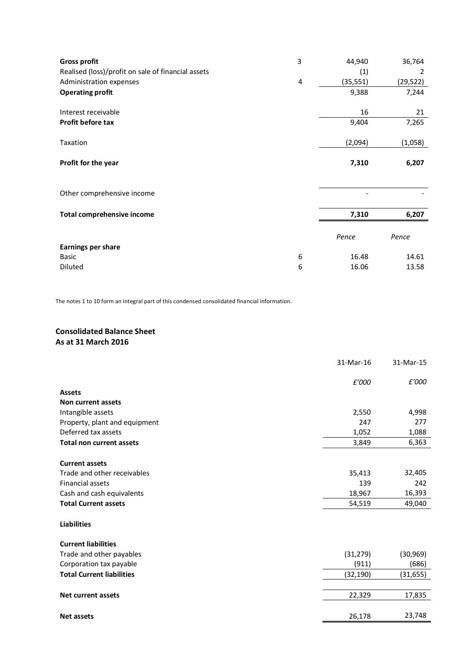| <b>Gross profit</b>                                | 3 | 44,940    | 36,764    |
|----------------------------------------------------|---|-----------|-----------|
| Realised (loss)/profit on sale of financial assets |   | (1)       | 2         |
| Administration expenses                            | 4 | (35, 551) | (29, 522) |
| <b>Operating profit</b>                            |   | 9,388     | 7,244     |
| Interest receivable                                |   | 16        | 21        |
| Profit before tax                                  |   | 9,404     | 7,265     |
| Taxation                                           |   | (2,094)   | (1,058)   |
| Profit for the year                                |   | 7,310     | 6,207     |
| Other comprehensive income                         |   |           |           |
| <b>Total comprehensive income</b>                  |   | 7,310     | 6,207     |
|                                                    |   | Pence     | Pence     |
| <b>Earnings per share</b>                          |   |           |           |
| <b>Basic</b>                                       | 6 | 16.48     | 14.61     |
| Diluted                                            | 6 | 16.06     | 13.58     |

The notes 1 to 10 form an integral part of this condensed consolidated financial information.

# **Consolidated Balance Sheet As at 31 March 2016**

|                                  | 31-Mar-16 | 31-Mar-15 |
|----------------------------------|-----------|-----------|
|                                  | £'000     | £'000     |
| <b>Assets</b>                    |           |           |
| Non current assets               |           |           |
| Intangible assets                | 2,550     | 4,998     |
| Property, plant and equipment    | 247       | 277       |
| Deferred tax assets              | 1,052     | 1,088     |
| <b>Total non current assets</b>  | 3,849     | 6,363     |
| <b>Current assets</b>            |           |           |
| Trade and other receivables      | 35,413    | 32,405    |
| <b>Financial assets</b>          | 139       | 242       |
| Cash and cash equivalents        | 18,967    | 16,393    |
| <b>Total Current assets</b>      | 54,519    | 49,040    |
| <b>Liabilities</b>               |           |           |
| <b>Current liabilities</b>       |           |           |
| Trade and other payables         | (31, 279) | (30, 969) |
| Corporation tax payable          | (911)     | (686)     |
| <b>Total Current liabilities</b> | (32,190)  | (31, 655) |
|                                  |           |           |
| <b>Net current assets</b>        | 22,329    | 17,835    |
|                                  |           |           |
| <b>Net assets</b>                | 26,178    | 23,748    |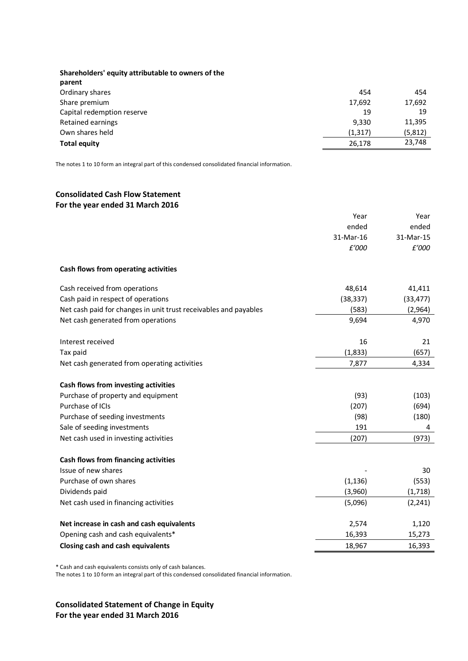| Shareholders' equity attributable to owners of the |          |         |
|----------------------------------------------------|----------|---------|
| parent                                             |          |         |
| Ordinary shares                                    | 454      | 454     |
| Share premium                                      | 17,692   | 17,692  |
| Capital redemption reserve                         | 19       | 19      |
| Retained earnings                                  | 9,330    | 11,395  |
| Own shares held                                    | (1, 317) | (5,812) |
| <b>Total equity</b>                                | 26,178   | 23,748  |

The notes 1 to 10 form an integral part of this condensed consolidated financial information.

## **Consolidated Cash Flow Statement For the year ended 31 March 2016**

|                                                                  | Year      | Year      |
|------------------------------------------------------------------|-----------|-----------|
|                                                                  | ended     | ended     |
|                                                                  | 31-Mar-16 | 31-Mar-15 |
|                                                                  | £'000     | £'000     |
| Cash flows from operating activities                             |           |           |
| Cash received from operations                                    | 48,614    | 41,411    |
| Cash paid in respect of operations                               | (38, 337) | (33, 477) |
| Net cash paid for changes in unit trust receivables and payables | (583)     | (2,964)   |
| Net cash generated from operations                               | 9,694     | 4,970     |
| Interest received                                                | 16        | 21        |
| Tax paid                                                         | (1,833)   | (657)     |
| Net cash generated from operating activities                     | 7,877     | 4,334     |
|                                                                  |           |           |
| Cash flows from investing activities                             |           |           |
| Purchase of property and equipment                               | (93)      | (103)     |
| Purchase of ICIs                                                 | (207)     | (694)     |
| Purchase of seeding investments                                  | (98)      | (180)     |
| Sale of seeding investments                                      | 191       | 4         |
| Net cash used in investing activities                            | (207)     | (973)     |
| Cash flows from financing activities                             |           |           |
| Issue of new shares                                              |           | 30        |
| Purchase of own shares                                           | (1, 136)  | (553)     |
| Dividends paid                                                   | (3,960)   | (1,718)   |
| Net cash used in financing activities                            | (5,096)   | (2, 241)  |
| Net increase in cash and cash equivalents                        | 2,574     | 1,120     |
| Opening cash and cash equivalents*                               | 16,393    | 15,273    |
| <b>Closing cash and cash equivalents</b>                         | 18,967    | 16,393    |
|                                                                  |           |           |

\* Cash and cash equivalents consists only of cash balances.

The notes 1 to 10 form an integral part of this condensed consolidated financial information.

**Consolidated Statement of Change in Equity For the year ended 31 March 2016**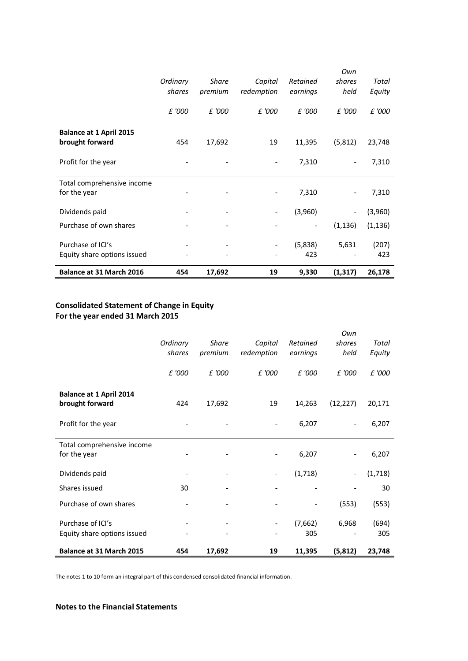|                                |          |              |            |          | Own                      |          |
|--------------------------------|----------|--------------|------------|----------|--------------------------|----------|
|                                | Ordinary | <b>Share</b> | Capital    | Retained | shares                   | Total    |
|                                | shares   | premium      | redemption | earnings | held                     | Equity   |
|                                |          |              |            |          |                          |          |
|                                | £ '000   | £ '000       | £ '000     | £ '000   | £ '000                   | £ '000   |
|                                |          |              |            |          |                          |          |
| <b>Balance at 1 April 2015</b> |          |              |            |          |                          |          |
| brought forward                | 454      | 17,692       | 19         | 11,395   | (5, 812)                 | 23,748   |
|                                |          |              |            |          |                          |          |
| Profit for the year            |          |              |            | 7,310    | $\overline{\phantom{a}}$ | 7,310    |
|                                |          |              |            |          |                          |          |
| Total comprehensive income     |          |              |            |          |                          |          |
| for the year                   |          |              |            | 7,310    | $\overline{\phantom{a}}$ | 7,310    |
|                                |          |              |            |          |                          |          |
| Dividends paid                 |          |              |            | (3,960)  | $\overline{\phantom{a}}$ | (3,960)  |
| Purchase of own shares         |          |              |            |          | (1, 136)                 | (1, 136) |
|                                |          |              |            |          |                          |          |
| Purchase of ICI's              |          |              |            | (5,838)  | 5,631                    | (207)    |
| Equity share options issued    |          |              |            | 423      |                          | 423      |
|                                |          |              |            |          |                          |          |
| Balance at 31 March 2016       | 454      | 17,692       | 19         | 9,330    | (1, 317)                 | 26,178   |

# **Consolidated Statement of Change in Equity For the year ended 31 March 2015**

| Equity share options issued                       |                    |                         |                       | (7,662)<br>305       | 6,968                 | (694)<br>305    |
|---------------------------------------------------|--------------------|-------------------------|-----------------------|----------------------|-----------------------|-----------------|
|                                                   |                    |                         |                       |                      |                       |                 |
| Purchase of ICI's                                 |                    |                         |                       |                      |                       |                 |
| Purchase of own shares                            |                    |                         |                       |                      | (553)                 | (553)           |
| Shares issued                                     | 30                 |                         |                       |                      |                       | 30              |
| Dividends paid                                    |                    |                         |                       | (1,718)              |                       | (1,718)         |
| Total comprehensive income<br>for the year        |                    |                         |                       | 6,207                |                       | 6,207           |
| Profit for the year                               |                    |                         |                       | 6,207                |                       | 6,207           |
| <b>Balance at 1 April 2014</b><br>brought forward | 424                | 17,692                  | 19                    | 14,263               | (12, 227)             | 20,171          |
|                                                   | £ '000             | £ '000                  | £ '000                | £ '000               | £ '000                | £ '000          |
|                                                   | Ordinary<br>shares | <b>Share</b><br>premium | Capital<br>redemption | Retained<br>earnings | Own<br>shares<br>held | Total<br>Equity |

The notes 1 to 10 form an integral part of this condensed consolidated financial information.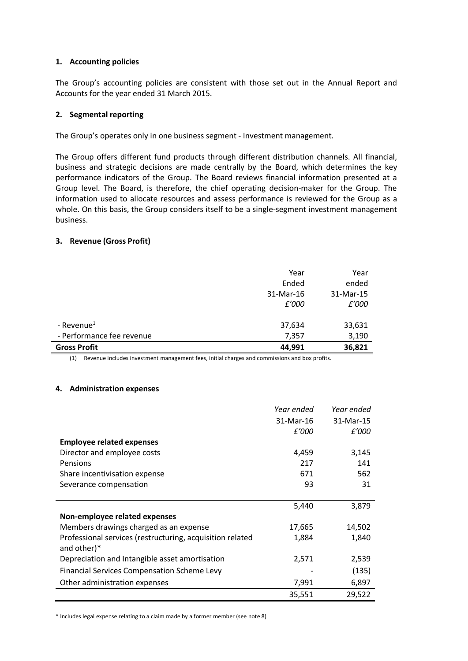## **1. Accounting policies**

The Group's accounting policies are consistent with those set out in the Annual Report and Accounts for the year ended 31 March 2015.

## **2. Segmental reporting**

The Group's operates only in one business segment - Investment management.

The Group offers different fund products through different distribution channels. All financial, business and strategic decisions are made centrally by the Board, which determines the key performance indicators of the Group. The Board reviews financial information presented at a Group level. The Board, is therefore, the chief operating decision-maker for the Group. The information used to allocate resources and assess performance is reviewed for the Group as a whole. On this basis, the Group considers itself to be a single-segment investment management business.

### **3. Revenue (Gross Profit)**

|                           | Year      | Year      |
|---------------------------|-----------|-----------|
|                           | Ended     | ended     |
|                           | 31-Mar-16 | 31-Mar-15 |
|                           | £'000     | £'000     |
|                           |           |           |
| - Revenue <sup>1</sup>    | 37,634    | 33,631    |
| - Performance fee revenue | 7,357     | 3,190     |
| <b>Gross Profit</b>       | 44,991    | 36,821    |

(1) Revenue includes investment management fees, initial charges and commissions and box profits.

#### **4. Administration expenses**

|                                                           | Year ended | Year ended |
|-----------------------------------------------------------|------------|------------|
|                                                           | 31-Mar-16  | 31-Mar-15  |
|                                                           | £'000      | £'000      |
| <b>Employee related expenses</b>                          |            |            |
| Director and employee costs                               | 4,459      | 3,145      |
| Pensions                                                  | 217        | 141        |
| Share incentivisation expense                             | 671        | 562        |
| Severance compensation                                    | 93         | 31         |
|                                                           |            |            |
|                                                           | 5,440      | 3,879      |
| Non-employee related expenses                             |            |            |
| Members drawings charged as an expense                    | 17,665     | 14,502     |
| Professional services (restructuring, acquisition related | 1,884      | 1,840      |
| and other)*                                               |            |            |
| Depreciation and Intangible asset amortisation            | 2,571      | 2,539      |
| <b>Financial Services Compensation Scheme Levy</b>        |            | (135)      |
| Other administration expenses                             | 7,991      | 6,897      |
|                                                           | 35,551     | 29,522     |

\* Includes legal expense relating to a claim made by a former member (see note 8)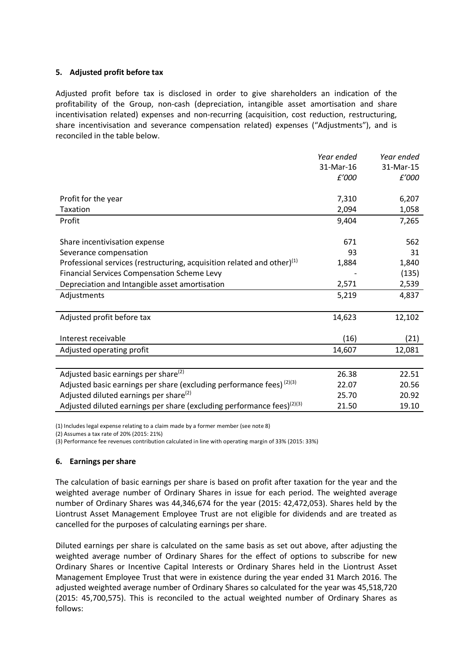## **5. Adjusted profit before tax**

Adjusted profit before tax is disclosed in order to give shareholders an indication of the profitability of the Group, non-cash (depreciation, intangible asset amortisation and share incentivisation related) expenses and non-recurring (acquisition, cost reduction, restructuring, share incentivisation and severance compensation related) expenses ("Adjustments"), and is reconciled in the table below.

|                                                                                    | Year ended | Year ended |
|------------------------------------------------------------------------------------|------------|------------|
|                                                                                    | 31-Mar-16  | 31-Mar-15  |
|                                                                                    | £'000      | £'000      |
|                                                                                    |            |            |
| Profit for the year                                                                | 7,310      | 6,207      |
| Taxation                                                                           | 2,094      | 1,058      |
| Profit                                                                             | 9,404      | 7,265      |
|                                                                                    |            |            |
| Share incentivisation expense                                                      | 671        | 562        |
| Severance compensation                                                             | 93         | 31         |
| Professional services (restructuring, acquisition related and other) $(1)$         | 1,884      | 1,840      |
| <b>Financial Services Compensation Scheme Levy</b>                                 |            | (135)      |
| Depreciation and Intangible asset amortisation                                     | 2,571      | 2,539      |
| Adjustments                                                                        | 5,219      | 4,837      |
|                                                                                    |            |            |
| Adjusted profit before tax                                                         | 14,623     | 12,102     |
|                                                                                    |            |            |
| Interest receivable                                                                | (16)       | (21)       |
| Adjusted operating profit                                                          | 14,607     | 12,081     |
|                                                                                    |            |            |
| Adjusted basic earnings per share <sup>(2)</sup>                                   | 26.38      | 22.51      |
| Adjusted basic earnings per share (excluding performance fees) <sup>(2)(3)</sup>   | 22.07      | 20.56      |
| Adjusted diluted earnings per share <sup>(2)</sup>                                 | 25.70      | 20.92      |
| Adjusted diluted earnings per share (excluding performance fees) <sup>(2)(3)</sup> | 21.50      | 19.10      |

(1) Includes legal expense relating to a claim made by a former member (see note 8)

(2) Assumes a tax rate of 20% (2015: 21%)

(3) Performance fee revenues contribution calculated in line with operating margin of 33% (2015: 33%)

#### **6. Earnings per share**

The calculation of basic earnings per share is based on profit after taxation for the year and the weighted average number of Ordinary Shares in issue for each period. The weighted average number of Ordinary Shares was 44,346,674 for the year (2015: 42,472,053). Shares held by the Liontrust Asset Management Employee Trust are not eligible for dividends and are treated as cancelled for the purposes of calculating earnings per share.

Diluted earnings per share is calculated on the same basis as set out above, after adjusting the weighted average number of Ordinary Shares for the effect of options to subscribe for new Ordinary Shares or Incentive Capital Interests or Ordinary Shares held in the Liontrust Asset Management Employee Trust that were in existence during the year ended 31 March 2016. The adjusted weighted average number of Ordinary Shares so calculated for the year was 45,518,720 (2015: 45,700,575). This is reconciled to the actual weighted number of Ordinary Shares as follows: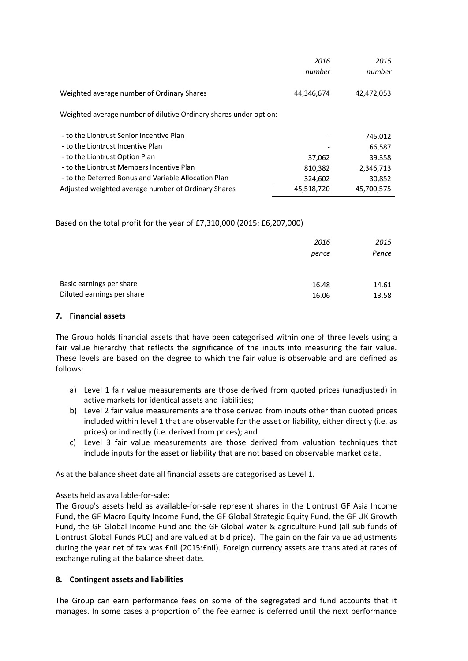|                                                                   | 2016<br>number | 2015<br>number |
|-------------------------------------------------------------------|----------------|----------------|
| Weighted average number of Ordinary Shares                        | 44,346,674     | 42,472,053     |
| Weighted average number of dilutive Ordinary shares under option: |                |                |
| - to the Liontrust Senior Incentive Plan                          |                | 745,012        |
| - to the Liontrust Incentive Plan                                 |                | 66,587         |
| - to the Liontrust Option Plan                                    | 37,062         | 39,358         |
| - to the Liontrust Members Incentive Plan                         | 810,382        | 2,346,713      |
| - to the Deferred Bonus and Variable Allocation Plan              | 324,602        | 30,852         |
| Adjusted weighted average number of Ordinary Shares               | 45,518,720     | 45,700,575     |

Based on the total profit for the year of £7,310,000 (2015: £6,207,000)

|                            | 2016  | 2015  |
|----------------------------|-------|-------|
|                            | pence | Pence |
|                            |       |       |
| Basic earnings per share   |       |       |
|                            | 16.48 | 14.61 |
| Diluted earnings per share | 16.06 | 13.58 |

## **7. Financial assets**

The Group holds financial assets that have been categorised within one of three levels using a fair value hierarchy that reflects the significance of the inputs into measuring the fair value. These levels are based on the degree to which the fair value is observable and are defined as follows:

- a) Level 1 fair value measurements are those derived from quoted prices (unadjusted) in active markets for identical assets and liabilities;
- b) Level 2 fair value measurements are those derived from inputs other than quoted prices included within level 1 that are observable for the asset or liability, either directly (i.e. as prices) or indirectly (i.e. derived from prices); and
- c) Level 3 fair value measurements are those derived from valuation techniques that include inputs for the asset or liability that are not based on observable market data.

As at the balance sheet date all financial assets are categorised as Level 1.

# Assets held as available-for-sale:

The Group's assets held as available-for-sale represent shares in the Liontrust GF Asia Income Fund, the GF Macro Equity Income Fund, the GF Global Strategic Equity Fund, the GF UK Growth Fund, the GF Global Income Fund and the GF Global water & agriculture Fund (all sub-funds of Liontrust Global Funds PLC) and are valued at bid price). The gain on the fair value adjustments during the year net of tax was £nil (2015:£nil). Foreign currency assets are translated at rates of exchange ruling at the balance sheet date.

## **8. Contingent assets and liabilities**

The Group can earn performance fees on some of the segregated and fund accounts that it manages. In some cases a proportion of the fee earned is deferred until the next performance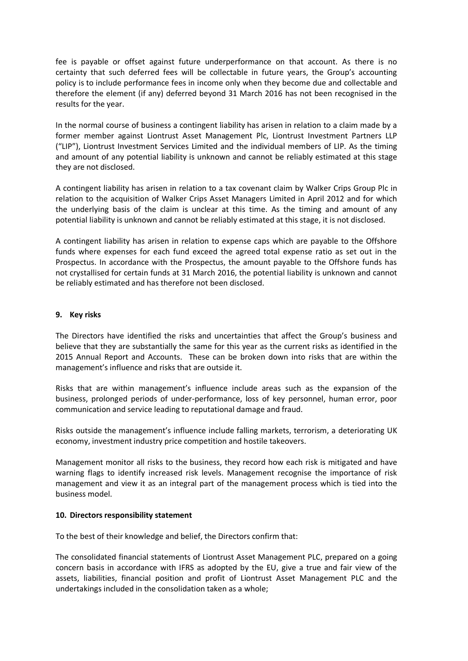fee is payable or offset against future underperformance on that account. As there is no certainty that such deferred fees will be collectable in future years, the Group's accounting policy is to include performance fees in income only when they become due and collectable and therefore the element (if any) deferred beyond 31 March 2016 has not been recognised in the results for the year.

In the normal course of business a contingent liability has arisen in relation to a claim made by a former member against Liontrust Asset Management Plc, Liontrust Investment Partners LLP ("LIP"), Liontrust Investment Services Limited and the individual members of LIP. As the timing and amount of any potential liability is unknown and cannot be reliably estimated at this stage they are not disclosed.

A contingent liability has arisen in relation to a tax covenant claim by Walker Crips Group Plc in relation to the acquisition of Walker Crips Asset Managers Limited in April 2012 and for which the underlying basis of the claim is unclear at this time. As the timing and amount of any potential liability is unknown and cannot be reliably estimated at this stage, it is not disclosed.

A contingent liability has arisen in relation to expense caps which are payable to the Offshore funds where expenses for each fund exceed the agreed total expense ratio as set out in the Prospectus. In accordance with the Prospectus, the amount payable to the Offshore funds has not crystallised for certain funds at 31 March 2016, the potential liability is unknown and cannot be reliably estimated and has therefore not been disclosed.

### **9. Key risks**

The Directors have identified the risks and uncertainties that affect the Group's business and believe that they are substantially the same for this year as the current risks as identified in the 2015 Annual Report and Accounts. These can be broken down into risks that are within the management's influence and risks that are outside it.

Risks that are within management's influence include areas such as the expansion of the business, prolonged periods of under-performance, loss of key personnel, human error, poor communication and service leading to reputational damage and fraud.

Risks outside the management's influence include falling markets, terrorism, a deteriorating UK economy, investment industry price competition and hostile takeovers.

Management monitor all risks to the business, they record how each risk is mitigated and have warning flags to identify increased risk levels. Management recognise the importance of risk management and view it as an integral part of the management process which is tied into the business model.

## **10. Directors responsibility statement**

To the best of their knowledge and belief, the Directors confirm that:

The consolidated financial statements of Liontrust Asset Management PLC, prepared on a going concern basis in accordance with IFRS as adopted by the EU, give a true and fair view of the assets, liabilities, financial position and profit of Liontrust Asset Management PLC and the undertakings included in the consolidation taken as a whole;